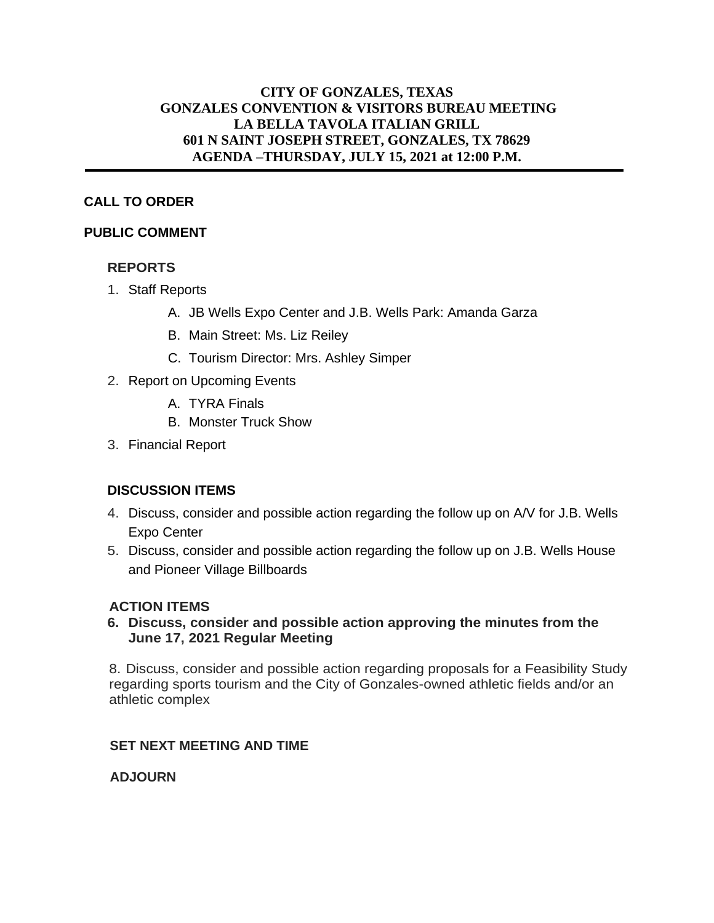### **CITY OF GONZALES, TEXAS GONZALES CONVENTION & VISITORS BUREAU MEETING LA BELLA TAVOLA ITALIAN GRILL 601 N SAINT JOSEPH STREET, GONZALES, TX 78629 AGENDA –THURSDAY, JULY 15, 2021 at 12:00 P.M.**

## **CALL TO ORDER**

#### **PUBLIC COMMENT**

### **REPORTS**

- 1. Staff Reports
	- A. JB Wells Expo Center and J.B. Wells Park: Amanda Garza
	- B. Main Street: Ms. Liz Reiley
	- C. Tourism Director: Mrs. Ashley Simper
- 2. Report on Upcoming Events
	- A. TYRA Finals
	- B. Monster Truck Show
- 3. Financial Report

# **DISCUSSION ITEMS**

- 4. Discuss, consider and possible action regarding the follow up on A/V for J.B. Wells Expo Center
- 5. Discuss, consider and possible action regarding the follow up on J.B. Wells House and Pioneer Village Billboards

### **ACTION ITEMS**

**6. Discuss, consider and possible action approving the minutes from the June 17, 2021 Regular Meeting**

8. Discuss, consider and possible action regarding proposals for a Feasibility Study regarding sports tourism and the City of Gonzales-owned athletic fields and/or an athletic complex

### **SET NEXT MEETING AND TIME**

### **ADJOURN**